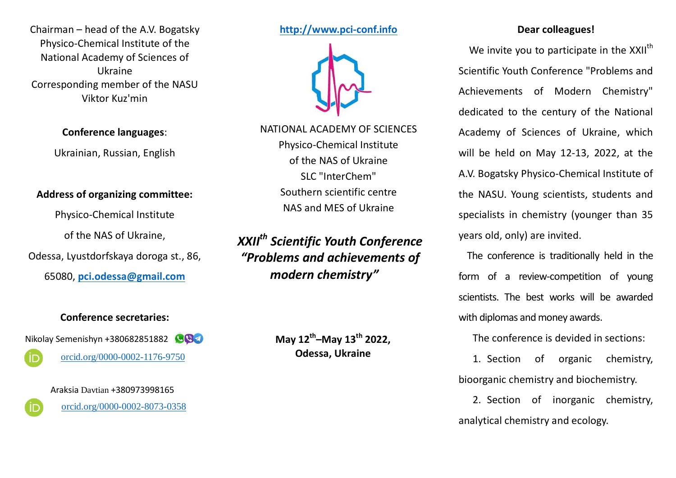Chairman – head of the A.V. Bogatsky Physico-Chemical Institute of the National Academy of Sciences of Ukraine Corresponding member of the NASU Viktor Kuz'min

**Conference languages**:

Ukrainian, Russian, English

# **Address of organizing committee:**

Physico-Chemical Institute

of the NAS of Ukraine,

Odessa, Lyustdorfskaya doroga st., 86,

65080, **[pci.odessa@gmail.com](mailto:pci.odessa@gmail.com)**

### **Conference secretaries:**

Nikolay Semenishyn +380682851882

[orcid.org/0000-0002-1176-9750](https://orcid.org/0000-0002-1176-9750)

Araksia Davtian +380973998165

[orcid.org/0000-0002-8073-0358](https://orcid.org/0000-0003-2181-1999)

**[http://www.pci-conf.info](http://www.pci-conf.info/)**



NATIONAL ACADEMY OF SCIENCES Physico-Chemical Institute of the NAS of Ukraine SLC "InterChem" Southern scientific centre NAS and MES of Ukraine

*XXII th Scientific Youth Conference "Problems and achievements of modern chemistry"*

> **May 12th–May 13th 2022, Odessa, Ukraine**

# **Dear colleagues!**

We invite you to participate in the XXII<sup>th</sup> Scientific Youth Conference "Problems and Achievements of Modern Chemistry" dedicated to the century of the National Academy of Sciences of Ukraine, which will be held on May 12-13, 2022, at the A.V. Bogatsky Physico-Chemical Institute of the NASU. Young scientists, students and specialists in chemistry (younger than 35 years old, only) are invited.

The conference is traditionally held in the form of a review-competition of young scientists. The best works will be awarded with diplomas and money awards.

The conference is devided in sections:

1. Section of organic chemistry, bioorganic chemistry and biochemistry.

2. Section of inorganic chemistry, analytical chemistry and ecology.